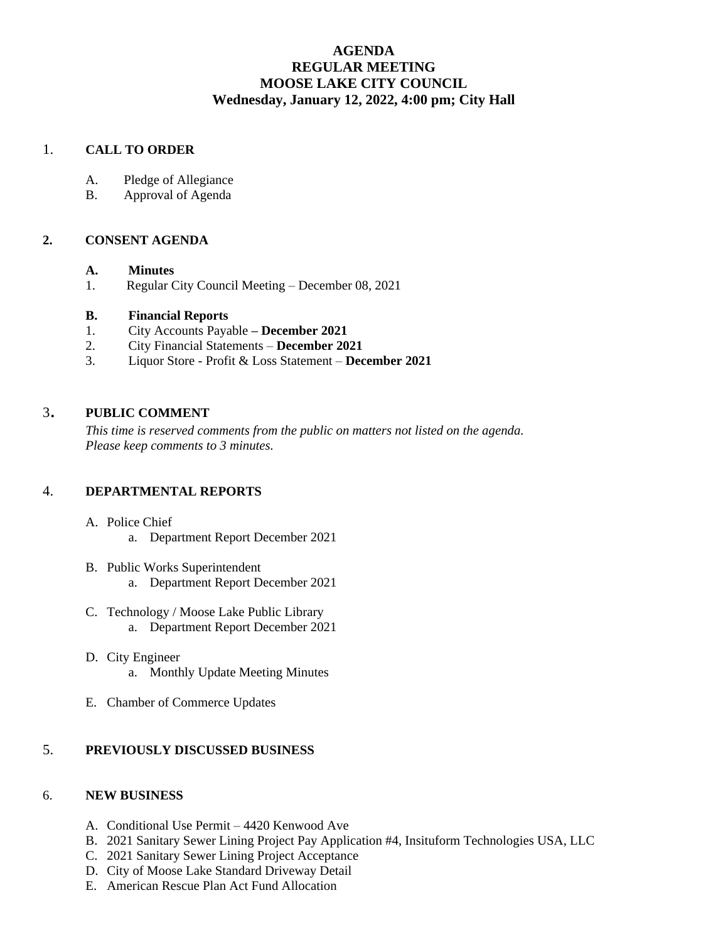# **AGENDA REGULAR MEETING MOOSE LAKE CITY COUNCIL Wednesday, January 12, 2022, 4:00 pm; City Hall**

## 1. **CALL TO ORDER**

- A. Pledge of Allegiance
- B. Approval of Agenda

#### **2. CONSENT AGENDA**

#### **A. Minutes**

1. Regular City Council Meeting – December 08, 2021

#### **B. Financial Reports**

- 1. City Accounts Payable **– December 2021**
- 2. City Financial Statements **December 2021**
- 3. Liquor Store Profit & Loss Statement **December 2021**

### <sup>3</sup>. **PUBLIC COMMENT**

*This time is reserved comments from the public on matters not listed on the agenda. Please keep comments to 3 minutes.*

#### 4. **DEPARTMENTAL REPORTS**

- A. Police Chief
	- a. Department Report December 2021
- B. Public Works Superintendent a. Department Report December 2021
- C. Technology / Moose Lake Public Library a. Department Report December 2021
- D. City Engineer a. Monthly Update Meeting Minutes
- E. Chamber of Commerce Updates

## 5. **PREVIOUSLY DISCUSSED BUSINESS**

#### 6. **NEW BUSINESS**

- A. Conditional Use Permit 4420 Kenwood Ave
- B. 2021 Sanitary Sewer Lining Project Pay Application #4, Insituform Technologies USA, LLC
- C. 2021 Sanitary Sewer Lining Project Acceptance
- D. City of Moose Lake Standard Driveway Detail
- E. American Rescue Plan Act Fund Allocation